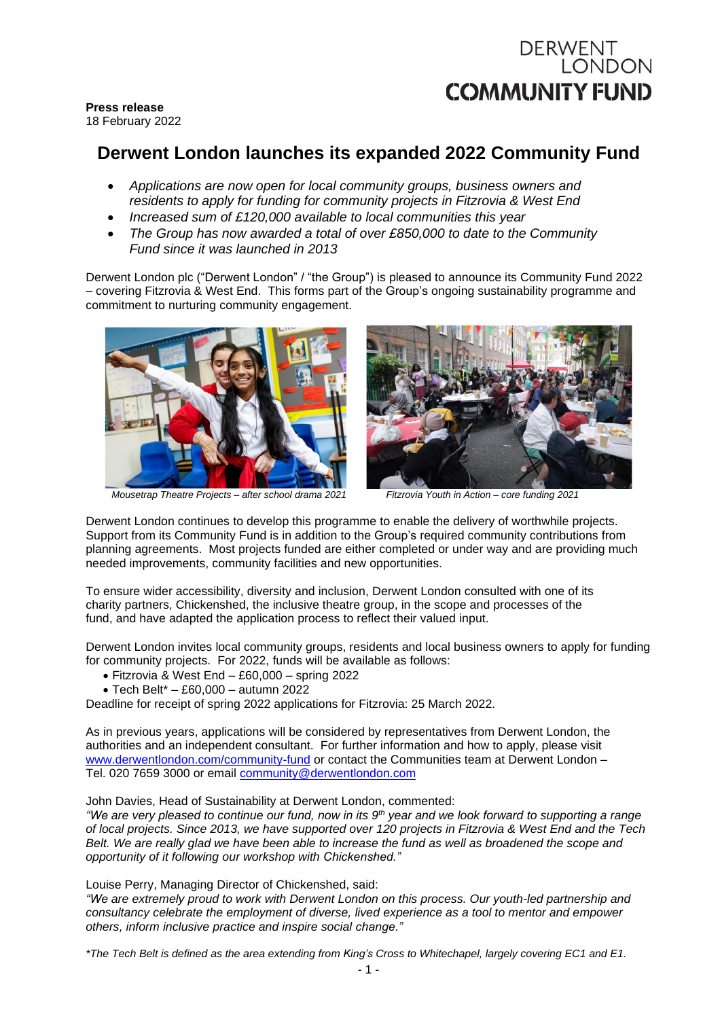# DERWENT **LONDON COMMUNITY FUND**

**Press release** 18 February 2022

## **Derwent London launches its expanded 2022 Community Fund**

- *Applications are now open for local community groups, business owners and residents to apply for funding for community projects in Fitzrovia & West End*
- *Increased sum of £120,000 available to local communities this year*
- *The Group has now awarded a total of over £850,000 to date to the Community Fund since it was launched in 2013*

Derwent London plc ("Derwent London" / "the Group") is pleased to announce its Community Fund 2022 – covering Fitzrovia & West End. This forms part of the Group's ongoing sustainability programme and commitment to nurturing community engagement.



*Mousetrap Theatre Projects – after school drama 2021 Fitzrovia Youth in Action – core funding 2021*

Derwent London continues to develop this programme to enable the delivery of worthwhile projects. Support from its Community Fund is in addition to the Group's required community contributions from planning agreements. Most projects funded are either completed or under way and are providing much needed improvements, community facilities and new opportunities.

To ensure wider accessibility, diversity and inclusion, Derwent London consulted with one of its charity partners, Chickenshed, the inclusive theatre group, in the scope and processes of the fund, and have adapted the application process to reflect their valued input.

Derwent London invites local community groups, residents and local business owners to apply for funding for community projects. For 2022, funds will be available as follows:

- Fitzrovia & West End £60,000 spring 2022
- Tech Belt\* £60,000 autumn 2022

Deadline for receipt of spring 2022 applications for Fitzrovia: 25 March 2022.

As in previous years, applications will be considered by representatives from Derwent London, the authorities and an independent consultant. For further information and how to apply, please visit [www.derwentlondon.com/community-fund](http://www.derwentlondon.com/community-fund) or contact the Communities team at Derwent London Tel. 020 7659 3000 or email [community@derwentlondon.com](mailto:community@derwentlondon.com)

John Davies, Head of Sustainability at Derwent London, commented:

"We are very pleased to continue our fund, now in its 9th year and we look forward to supporting a range of local projects. Since 2013, we have supported over 120 projects in Fitzrovia & West End and the Tech Belt. We are really glad we have been able to increase the fund as well as broadened the scope and *opportunity of it following our workshop with Chickenshed."*

Louise Perry, Managing Director of Chickenshed, said:

*"We are extremely proud to work with Derwent London on this process. Our youth-led partnership and consultancy celebrate the employment of diverse, lived experience as a tool to mentor and empower others, inform inclusive practice and inspire social change."*

\*The Tech Belt is defined as the area extending from King's Cross to Whitechapel, largely covering EC1 and E1.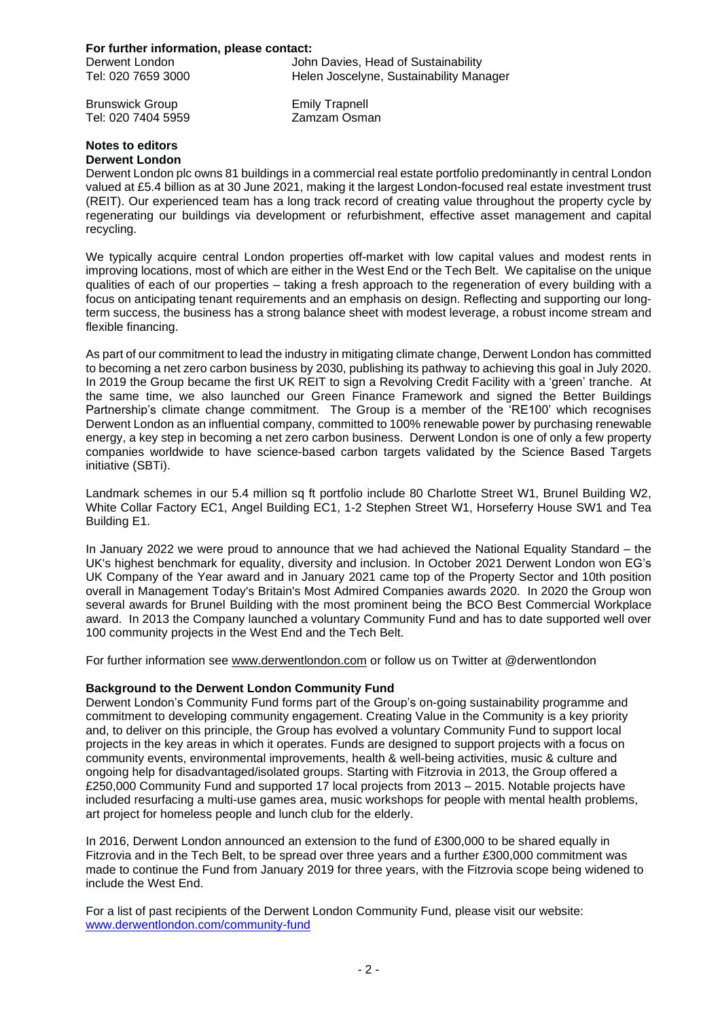#### **For further information, please contact:**

| Derwent London     | John Davies, Head of Sustainability     |
|--------------------|-----------------------------------------|
| Tel: 020 7659 3000 | Helen Joscelyne, Sustainability Manager |

Brunswick Group Emily Trapnell Tel: 020 7404 5959

#### **Notes to editors Derwent London**

Derwent London plc owns 81 buildings in a commercial real estate portfolio predominantly in central London valued at £5.4 billion as at 30 June 2021, making it the largest London-focused real estate investment trust (REIT). Our experienced team has a long track record of creating value throughout the property cycle by regenerating our buildings via development or refurbishment, effective asset management and capital recycling.

We typically acquire central London properties off-market with low capital values and modest rents in improving locations, most of which are either in the West End or the Tech Belt. We capitalise on the unique qualities of each of our properties – taking a fresh approach to the regeneration of every building with a focus on anticipating tenant requirements and an emphasis on design. Reflecting and supporting our longterm success, the business has a strong balance sheet with modest leverage, a robust income stream and flexible financing.

As part of our commitment to lead the industry in mitigating climate change, Derwent London has committed to becoming a net zero carbon business by 2030, publishing its pathway to achieving this goal in July 2020. In 2019 the Group became the first UK REIT to sign a Revolving Credit Facility with a 'green' tranche. At the same time, we also launched our Green Finance Framework and signed the Better Buildings Partnership's climate change commitment. The Group is a member of the 'RE100' which recognises Derwent London as an influential company, committed to 100% renewable power by purchasing renewable energy, a key step in becoming a net zero carbon business. Derwent London is one of only a few property companies worldwide to have science-based carbon targets validated by the Science Based Targets initiative (SBTi).

Landmark schemes in our 5.4 million sq ft portfolio include 80 Charlotte Street W1, Brunel Building W2, White Collar Factory EC1, Angel Building EC1, 1-2 Stephen Street W1, Horseferry House SW1 and Tea Building E1.

In January 2022 we were proud to announce that we had achieved the National Equality Standard – the UK's highest benchmark for equality, diversity and inclusion. In October 2021 Derwent London won EG's UK Company of the Year award and in January 2021 came top of the Property Sector and 10th position overall in Management Today's Britain's Most Admired Companies awards 2020. In 2020 the Group won several awards for Brunel Building with the most prominent being the BCO Best Commercial Workplace award. In 2013 the Company launched a voluntary Community Fund and has to date supported well over 100 community projects in the West End and the Tech Belt.

For further information see [www.derwentlondon.com](http://www.derwentlondon.com/) or follow us on Twitter at @derwentlondon

## **Background to the Derwent London Community Fund**

Derwent London's Community Fund forms part of the Group's on-going sustainability programme and commitment to developing community engagement. Creating Value in the Community is a key priority and, to deliver on this principle, the Group has evolved a voluntary Community Fund to support local projects in the key areas in which it operates. Funds are designed to support projects with a focus on community events, environmental improvements, health & well-being activities, music & culture and ongoing help for disadvantaged/isolated groups. Starting with Fitzrovia in 2013, the Group offered a £250,000 Community Fund and supported 17 local projects from 2013 – 2015. Notable projects have included resurfacing a multi-use games area, music workshops for people with mental health problems, art project for homeless people and lunch club for the elderly.

In 2016, Derwent London announced an extension to the fund of £300,000 to be shared equally in Fitzrovia and in the Tech Belt, to be spread over three years and a further £300,000 commitment was made to continue the Fund from January 2019 for three years, with the Fitzrovia scope being widened to include the West End.

For a list of past recipients of the Derwent London Community Fund, please visit our website: [www.derwentlondon.com/community-fund](http://www.derwentlondon.com/news/article/community-fund)